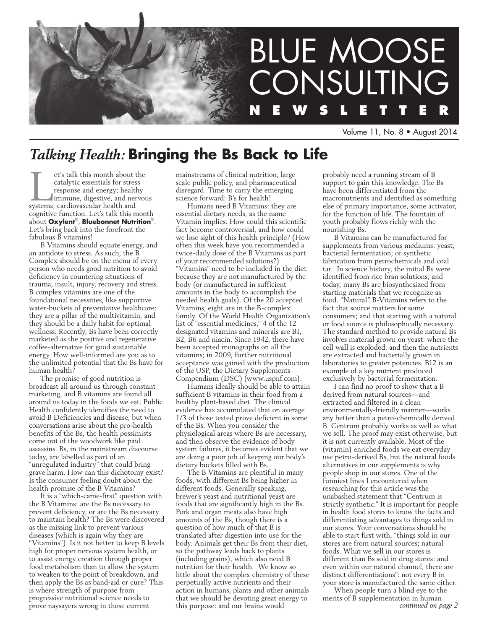

Volume 11, No. 8 • August 2014

# *Talking Health:* **Bringing the Bs Back to Life**

If this month about the catalytic essentials for stress response and energy; healthy immune, digestive, and nervousystems; cardiovascular health and catalytic essentials for stress response and energy; healthy immune, digestive, and nervous cognitive function. Let's talk this month about **Oxylent**®, **Bluebonnet Nutrition**®. Let's bring back into the forefront the fabulous B vitamins!

B Vitamins should equate energy, and an antidote to stress. As such, the B Complex should be on the menu of every person who needs good nutrition to avoid deficiency in countering situations of trauma, insult, injury, recovery and stress. B complex vitamins are one of the foundational necessities, like supportive water-buckets of preventative healthcare: they are a pillar of the multivitamin, and they should be a daily habit for optimal wellness. Recently, Bs have been correctly marketed as the positive and regenerative coffee-alternative for good sustainable energy. How well-informed are you as to the unlimited potential that the Bs have for human health?

The promise of good nutrition is broadcast all around us through constant marketing, and B vitamins are found all around us today in the foods we eat. Public Health confidently identifies the need to avoid B Deficiencies and disease, but when conversations arise about the pro-health benefits of the Bs, the health pessimists come out of the woodwork like paid assassins. Bs, in the mainstream discourse today, are labelled as part of an "unregulated industry" that could bring grave harm. How can this dichotomy exist? Is the consumer feeling doubt about the health promise of the B Vitamins?

It is a "which-came-first" question with the B Vitamins: are the Bs necessary to prevent deficiency, or are the Bs necessary to maintain health? The Bs were discovered as the missing link to prevent various diseases (which is again why they are "Vitamins"). Is it not better to keep B levels high for proper nervous system health, or to assist energy creation through proper food metabolism than to allow the system to weaken to the point of breakdown, and then apply the Bs as band-aid or cure? This is where strength of purpose from progressive nutritional science needs to prove naysayers wrong in those current

mainstreams of clinical nutrition, large scale public policy, and pharmaceutical disregard. Time to carry the emerging science forward: B's for health!

Humans need B Vitamins: they are essential dietary needs, as the name Vitamin implies. How could this scientific fact become controversial, and how could we lose sight of this health principle? (How often this week have you recommended a twice-daily dose of the B Vitamins as part of your recommended solutions?) "Vitamins" need to be included in the diet because they are not manufactured by the body (or manufactured in sufficient amounts in the body to accomplish the needed health goals). Of the 20 accepted Vitamins, eight are in the B-complex family. Of the World Health Organization's list of "essential medicines," 4 of the 12 designated vitamins and minerals are B1, B2, B6 and niacin. Since 1942, there have been accepted monographs on all the vitamins; in 2009, further nutritional acceptance was gained with the production of the USP, the Dietary Supplements Compendium (DSC) (www.uspnf.com).

Humans ideally should be able to attain sufficient B vitamins in their food from a healthy plant-based diet. The clinical evidence has accumulated that on average 1/3 of those tested prove deficient in some of the Bs. When you consider the physiological areas where Bs are necessary, and then observe the evidence of body system failures, it becomes evident that we are doing a poor job of keeping our body's dietary buckets filled with Bs.

The B Vitamins are plentiful in many foods, with different Bs being higher in different foods. Generally speaking, brewer's yeast and nutritional yeast are foods that are significantly high in the Bs. Pork and organ meats also have high amounts of the Bs, though there is a question of how much of that B is translated after digestion into use for the body. Animals get their Bs from their diet, so the pathway leads back to plants (including grains), which also need B nutrition for their health. We know so little about the complex chemistry of these perpetually active nutrients and their action in humans, plants and other animals that we should be devoting great energy to this purpose: and our brains would

probably need a running stream of B support to gain this knowledge. The Bs have been differentiated from the macronutrients and identified as something else of primary importance, some activator, for the function of life. The fountain of youth probably flows richly with the nourishing Bs.

B Vitamins can be manufactured for supplements from various mediums: yeast; bacterial fermentation; or synthetic fabrication from petrochemicals and coal tar. In science history, the initial Bs were identified from rice bran solutions; and today, many Bs are biosynthesized from starting materials that we recognize as food. "Natural" B-Vitamins refers to the fact that source matters for some consumers; and that starting with a natural or food source is philosophically necessary. The standard method to provide natural Bs involves material grown on yeast: where the cell wall is exploded, and then the nutrients are extracted and bacterially grown in laboratories to greater potencies. B12 is an example of a key nutrient produced exclusively by bacterial fermentation.

I can find no proof to show that a B derived from natural sources—and extracted and filtered in a clean environmentally-friendly manner—works any better than a petro-chemically derived B. Centrum probably works as well as what we sell. The proof may exist otherwise, but it is not currently available. Most of the (vitamin) enriched foods we eat everyday use petro-derived Bs, but the natural foods alternatives in our supplements is why people shop in our stores. One of the funniest lines I encountered when researching for this article was the unabashed statement that "Centrum is strictly synthetic." It is important for people in health food stores to know the facts and differentiating advantages to things sold in our stores. Your conversations should be able to start first with, "things sold in our stores are from natural sources; natural foods. What we sell in our stores is different than Bs sold in drug stores: and even within our natural channel, there are distinct differentiations": not every B in your store is manufactured the same either.

When people turn a blind eye to the merits of B supplementation in human *continued on page 2*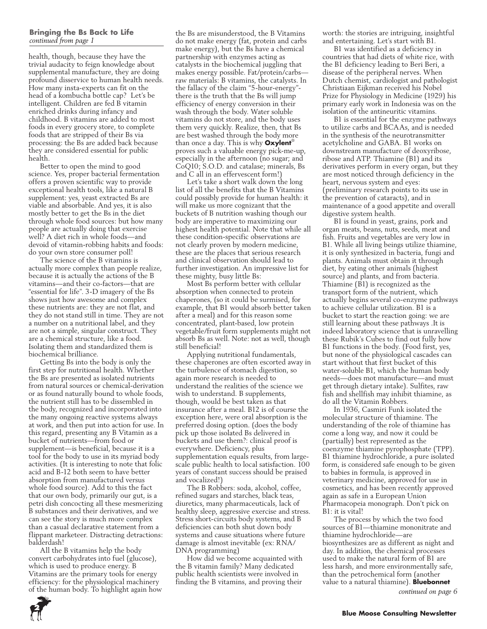#### **Bringing the Bs Back to Life** *continued from page 1*

health, though, because they have the trivial audacity to feign knowledge about supplemental manufacture, they are doing profound disservice to human health needs. How many insta-experts can fit on the head of a kombucha bottle cap? Let's be intelligent. Children are fed B vitamin enriched drinks during infancy and childhood. B vitamins are added to most foods in every grocery store, to complete foods that are stripped of their Bs via processing: the Bs are added back because they are considered essential for public health.

Better to open the mind to good science. Yes, proper bacterial fermentation offers a proven scientific way to provide exceptional health tools, like a natural B supplement: yes, yeast extracted Bs are viable and absorbable. And yes, it is also mostly better to get the Bs in the diet through whole food sources: but how many people are actually doing that exercise well? A diet rich in whole foods—and devoid of vitamin-robbing habits and foods: do your own store consumer poll!

The science of the B vitamins is actually more complex than people realize, because it is actually the actions of the B vitamins—and their co-factors—that are "essential for life". 3-D imagery of the Bs shows just how awesome and complex these nutrients are: they are not flat, and they do not stand still in time. They are not a number on a nutritional label, and they are not a simple, singular construct. They are a chemical structure, like a food. Isolating them and standardized them is biochemical brilliance.

Getting Bs into the body is only the first step for nutritional health. Whether the Bs are presented as isolated nutrients from natural sources or chemical-derivation or as found naturally bound to whole foods, the nutrient still has to be dissembled in the body, recognized and incorporated into the many ongoing reactive systems always at work, and then put into action for use. In this regard, presenting any B Vitamin as a bucket of nutrients—from food or supplement—is beneficial, because it is a tool for the body to use in its myriad body activities. (It is interesting to note that folic acid and B-12 both seem to have better absorption from manufactured versus whole food source). Add to this the fact that our own body, primarily our gut, is a petri dish concocting all these mesmerizing B substances and their derivatives, and we can see the story is much more complex than a casual declarative statement from a flippant marketeer. Distracting detractions: balderdash!

All the B vitamins help the body convert carbohydrates into fuel (glucose), which is used to produce energy. B Vitamins are the primary tools for energy efficiency: for the physiological machinery of the human body. To highlight again how the Bs are misunderstood, the B Vitamins do not make energy (fat, protein and carbs make energy), but the Bs have a chemical partnership with enzymes acting as catalysts in the biochemical juggling that makes energy possible. Fat/protein/carbs raw materials: B vitamins, the catalysts. In the fallacy of the claim "5-hour-energy" there is the truth that the Bs will jump efficiency of energy conversion in their wash through the body. Water soluble vitamins do not store, and the body uses them very quickly. Realize, then, that Bs are best washed through the body more than once a day. This is why **Oxylent**® proves such a valuable energy pick-me-up, especially in the afternoon (no sugar; and CoQ10; S.O.D. and catalase; minerals, Bs and C all in an effervescent form!)

Let's take a short walk down the long list of all the benefits that the B Vitamins could possibly provide for human health: it will make us more cognizant that the buckets of B nutrition washing though our body are imperative to maximizing our highest health potential. Note that while all these condition-specific observations are not clearly proven by modern medicine, these are the places that serious research and clinical observation should lead to further investigation. An impressive list for these mighty, busy little Bs:

Most Bs perform better with cellular absorption when connected to protein chaperones, (so it could be surmised, for example, that B1 would absorb better taken after a meal) and for this reason some concentrated, plant-based, low protein vegetable/fruit form supplements might not absorb Bs as well. Note: not as well, though still beneficial!

Applying nutritional fundamentals, these chaperones are often escorted away in the turbulence of stomach digestion, so again more research is needed to understand the realities of the science we wish to understand. B supplements, though, would be best taken as that insurance after a meal. B12 is of course the exception here, were oral absorption is the preferred dosing option. (does the body pick up those isolated Bs delivered in buckets and use them?: clinical proof is everywhere. Deficiency, plus supplementation equals results, from largescale public health to local satisfaction. 100 years of constant success should be praised and vocalized!)

The B Robbers: soda, alcohol, coffee, refined sugars and starches, black teas, diuretics, many pharmaceuticals, lack of healthy sleep, aggressive exercise and stress. Stress short-circuits body systems, and B deficiencies can both shut down body systems and cause situations where future damage is almost inevitable (ex: RNA/ DNA programming)

How did we become acquainted with the B vitamin family? Many dedicated public health scientists were involved in finding the B vitamins, and proving their

worth: the stories are intriguing, insightful and entertaining. Let's start with B1.

B1 was identified as a deficiency in countries that had diets of white rice, with the B1 deficiency leading to Beri Beri, a disease of the peripheral nerves. When Dutch chemist, cardiologist and pathologist Christiaan Eijkman received his Nobel Prize for Physiology in Medicine (1929) his primary early work in Indonesia was on the isolation of the antineuritic vitamins.

B1 is essential for the enzyme pathways to utilize carbs and BCAAs, and is needed in the synthesis of the neurotransmitter acetylcholine and GABA. B1 works on downstream manufacture of deoxyribose, ribose and ATP. Thiamine (B1) and its derivatives perform in every organ, but they are most noticed through deficiency in the heart, nervous system and eyes: (preliminary research points to its use in the prevention of cataracts), and in maintenance of a good appetite and overall digestive system health.

B1 is found in yeast, grains, pork and organ meats, beans, nuts, seeds, meat and fish. Fruits and vegetables are very low in B1. While all living beings utilize thiamine, it is only synthesized in bacteria, fungi and plants. Animals must obtain it through diet, by eating other animals (highest source) and plants, and from bacteria. Thiamine (B1) is recognized as the transport form of the nutrient, which actually begins several co-enzyme pathways to achieve cellular utilization. B1 is a bucket to start the reaction going: we are still learning about these pathways .It is indeed laboratory science that is unravelling these Rubik's Cubes to find out fully how B1 functions in the body. (Food first, yes, but none of the physiological cascades can start without that first bucket of this water-soluble B1, which the human body needs—does mot manufacture—and must get through dietary intake). Sulfites, raw fish and shellfish may inhibit thiamine, as do all the Vitamin Robbers.

In 1936, Casmiri Funk isolated the molecular structure of thiamine. The understanding of the role of thiamine has come a long way, and now it could be (partially) best represented as the coenzyme thiamine pyrophosphate (TPP). B1 thiamine hydrochloride, a pure isolated form, is considered safe enough to be given to babies in formula, is approved in veterinary medicine, approved for use in cosmetics, and has been recently approved again as safe in a European Union Pharmacopeia monograph. Don't pick on B1: it is vital!

The process by which the two food sources of B1—thiamine mononitrate and thiamine hydrochloride—are biosynthesizes are as different as night and day. In addition, the chemical processes used to make the natural form of B1 are less harsh, and more environmentally safe, than the petrochemical form (another value to a natural thiamine). **Bluebonnet** 

*continued on page 6*

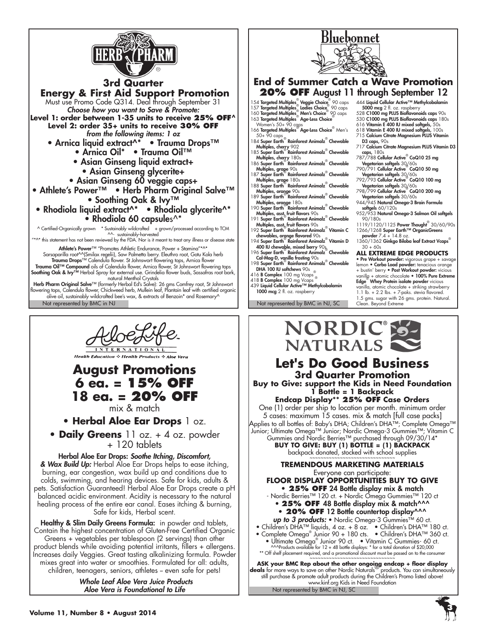

**3rd Quarter Energy & First Aid Support Promotion** Must use Promo Code Q314. Deal through September 31 *Choose how you want to Save & Promote:* **Level 1: order between 1-35 units to receive 25% OFF^ Level 2: order 35+ units to receive 30% OFF** *from the following items: 1 oz* • Arnica liquid extract^\* • Trauma Drops™ • Arnica Oil\* • Trauma Oil™ • Asian Ginseng liquid extract+ • Asian Ginseng glycerite+ • Asian Ginseng 60 veggie caps+ • Athlete's Power™ • Herb Pharm Original Salve™ • Soothing Oak & Ivy™ • Rhodiola liquid extract^\* • Rhodiola glycerite^\* • Rhodiola 60 capsules^\*

^ Certified-Organically grown \* Sustainably wildcrafted + grown/processed according to TCM ^^- sustainably-harvested

 $^{\ast\wedge\ast}$  this statement has not been reviewed by the FDA. Nor is it meant to treat any illness or disease state

Athlete's Power™ "Promotes Athletic Endurance, Power + Stamina"\*^\* Sarsaparilla root^^(Smilax regelii), Saw Palmetto berry. Eleuthro root, Gotu Kola herb Trauma Drops™ Calendula flower. St Johnswort flowering tops, Arnica flower<br>Trauma Oil™ Compound oils of Calendula flower, Arnica flower, St Johnswort flowering tops<br>Soothing Oak & Ivy™ Herbal Spray for external use. Grind natural Menthol Crystals Herb Pharm Original Salve™ (formerly Herbal Ed's Salve): 26 gms Comfrey root, St Johnswort<br>flowering tops, Calendula flower, Chickweed herb, Mullein leaf, Plantain leaf with certified organic<br>olive oil, sustainably wildcr



**Health Education & Health Products & Aloe Vera** 

# **August Promotions 6 ea. = 15% OFF 18 ea. = 20% OFF** mix & match

**• Herbal Aloe Ear Drops** 1 oz.

**• Daily Greens** 11 oz. + 4 oz. powder + 120 tablets

Herbal Aloe Ear Drops: *Soothe Itching, Discomfort, & Wax Build Up:* Herbal Aloe Ear Drops helps to ease itching, burning, ear congestion, wax build up and conditions due to colds, swimming, and hearing devices. Safe for kids, adults & pets. Satisfaction Guaranteed! Herbal Aloe Ear Drops create a pH balanced acidic environment. Acidity is necessary to the natural healing process of the entire ear canal. Eases itching & burning, Safe for kids, Herbal scent.

Healthy & Slim Daily Greens Formula: in powder and tablets, Contain the highest concentration of Gluten-Free Certified Organic Greens + vegetables per tablespoon (2 servings) than other product blends while avoiding potential irritants, fillers + allergens. Increases daily Veggies. Great tasting alkalinizing formula. Powder mixes great into water or smoothies. Formulated for all: adults, children, teenagers, seniors, athletes - even safe for pets!

> *Whole Leaf Aloe Vera Juice Products Aloe Vera is Foundational to Life*



**20% OFF** August 11 through September 12

Bluebonnet

- 
- Multiples, grape 180s<br>188 Super Earth® Rainforest Animalz® Chewable<br>Multiples, orange 90s<br>189 Super Earth® Rainforest Animalz® Chewable
- Multiples, orange 180s 190 Super Earth® Rainforest Animalz® Chewable
- Multiples, asst. fruit flavors 90s
- 191 Super Earth® Rainforest Animalz<sup>®</sup> Chewable<br>Multiples, asst, fruit flavors 90s
- 192 Super Earth<sup>®</sup> Rainforest Animalz<sup>®</sup> Vitamin C
- chewables, orange flavored 90s 194 Super Earth® Rainforest Animalz® Vitamin D
- 400 IU chewable, mixed berry 90<sub>s</sub><br>196 Super Earth<sup>®</sup> Rainforest Animalz<sup>®</sup> Chewable<br>Cal-Mag-D, vanilla frosting 90s<br>198 Super Earth® Rainforest Animalz® Chewable<br>DHA 100 IU softchews 90s
- 
- 416 **B Complex** 100 mg Vcaps
- 418 B Complex 100 mg Vcaps ® 439 Liquid Cellular Active™ Methylcobalamin 1000 mcg 2 fl. oz. raspberry

Not represented by BMC in NJ Not represented by BMC in NJ, SC

- 
- 
- 
- D3 caps, 90s 717 Calcium Citrate Magnesium PLUS Vitamin D3
- 
- 
- 
- Vegetarian softgels 30/60s 798/799 Cellular Active® CoQ10 200 mg
- Vegetarian softgels 30/60s 944/945 Natural Omega-3 Brain Formula softgels 60/120s
- 952/953 Natural Omega-3 Salmon Oil softgels 90/180s
- 1119/1120/1125 Power Thought<sup>®</sup> 30/60/90s 1266/1268 Super Earth™ OrganicGreens
- powder 7.4 + 14.8 oz.<br>1360/1362 Ginkgo Biloba leaf Extract Vcaps®
- $30 + 60s$

#### **ALL EXTREME EDGE PRODUCTS**

• Pre Workout powder: vigorous grape + savag lemon • Carbo Load powder: tenacious orange + bustin' berry • Post Workout powder: vicious vanilla + atomic chocolate • 100% Pure Extreme **Edge<sup>®</sup> Whey Protein isolate powder** vicious<br>vanilla, atomic chocolate + striking strawberry 1.1 lb. + 2.2 lbs. + 7-paks. stevia flavored.

- 
- 1.5 gms. sugar with 26 gms. protein. Natural. Clean. Beyond Extreme





Not represented by BMC in NJ, SC **ASK your BMC Rep about the other ongoing endcap + floor display deals** for more ways to save on other Nordic Naturals® products. You can simultaneously still purchase & promote adult products during the Children's Promo listed above! www.kinf.org Kids in Need Foundation

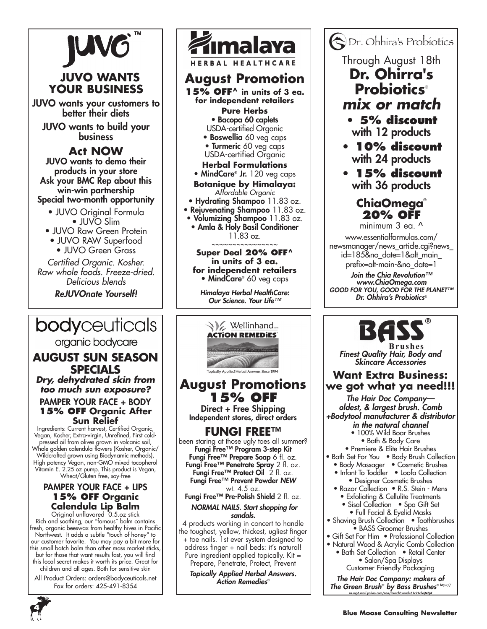

# **JUVO WANTS YOUR BUSINESS**

JUVO wants your customers to better their diets

JUVO wants to build your business

# **Act NOW**

JUVO wants to demo their products in your store Ask your BMC Rep about this win-win partnership Special two-month opportunity

- JUVO Original Formula • JUVO Slim
- JUVO Raw Green Protein
- JUVO RAW Superfood
- JUVO Green Grass

*Certified Organic. Kosher. Raw whole foods. Freeze-dried. Delicious blends*

*ReJUVOnate Yourself!*

# **bodyceuticals**

organic bodycare

# **August Sun Season Specials**

*Dry, dehydrated skin from too much sun exposure?*

### PAMPER YOUR FACE + BODY **15% OFF Organic After Sun Relief**

Ingredients: Current harvest, Certified Organic, Vegan, Kosher, Extra-virgin, Unrefined, First coldpressed oil from olives grown in volcanic soil, Whole golden calendula flowers (Kosher, Organic/ Wildcrafted grown using Biodynamic methods), High potency Vegan, non-GMO mixed tocopherol Vitamin E. 2.25 oz pump. This product is Vegan, Wheat/Gluten free, soy-free

## PAMPER YOUR FACE + LIPS **15% OFF Organic Calendula Lip Balm**

Original unflavored 0.5.oz stick Rich and soothing, our "famous" balm contains fresh, organic beeswax from healthy hives in Pacific Northwest. It adds a subtle "touch of honey" to our customer favorite. You may pay a bit more for this small batch balm than other mass market sticks, but for those that want results fast, you will find this local secret makes it worth its price. Great for children and all ages. Both for sensitive skin

All Product Orders: orders@bodyceuticals.net Fax for orders: 425-491-8354



**HERBAL HEALTHCARE** 

# **August Promotion**

**15% OFF^ in units of 3 ea. for independent retailers** 

## **Pure Herbs**

• Bacopa 60 caplets

- USDA-certified Organic
- Boswellia 60 veg caps • Turmeric 60 veg caps

#### USDA-certified Organic **Herbal Formulations**

- MindCare® Jr. 120 veg caps
- **Botanique by Himalaya:** 
	- *Affordable Organic*
- Hydrating Shampoo 11.83 oz.
- Rejuvenating Shampoo 11.83 oz.
- Volumizing Shampoo 11.83 oz. • Amla & Holy Basil Conditioner 11.83 oz.

~~~~~~~~~~~~~~~~

#### **Super Deal 20% OFF^ in units of 3 ea. for independent retailers** • MindCare® 60 veg caps

*Himalaya Herbal HealthCare: Our Science. Your Life™*



# **August Promotions 15% OFF**<br>Direct + Free Shipping

Independent stores, direct orders

# **FUNGI FREE™**

been staring at those ugly toes all summer? Fungi Free™ Program 3-step Kit **Fungi Free™ Prepare Soap 6** fl. oz. Fungi Free™ Penetrate Spray 2 fl. oz. Fungi Free™ Protect Oil 2 fl. oz. Fungi Free™ Prevent Powder *new* wt. 4.5 oz. Fungi Free™ Pre-Polish Shield 2 fl. oz.

*NORMAL NAILS. Start shopping for sandals.*

4 products working in concert to handle the toughest, yellow, thickest, ugliest finger + toe nails. 1st ever system designed to address finger + nail beds: it's natural! Pure ingredient applied topically. Kit = Prepare, Penetrate, Protect, Prevent

*Topically Applied Herbal Answers. Action Remedies*®

# Dr. Ohhira's Probiotics

Through August 18th **Dr. Ohirra's** 

# **Probiotics**®

- *mix or match*
	- **5% discount** with 12 products
- **10% discount** with 24 products
- **15% discount** with 36 products

# **ChiaOmega**® **20% OFF**

minimum 3 eq.  $\lambda$ 

www.essentialformulas.com/ newsmanager/news\_article.cgi?news\_ id=185&no\_date=1&alt\_main\_ prefix=alt-main-&no\_date=1

*Join the Chia Revolution™ www.ChiaOmega.com GOOD FOR YOU, GOOD FOR THE PLANET™ Dr. Ohhira's Probiotics*®



*Finest Quality Hair, Body and Skincare Accessories*

# **Want Extra Business: we got what ya need!!!**

*The Hair Doc Company oldest, & largest brush. Comb +Bodytool manufacturer & distributor in the natural channel*

- 100% Wild Boar Brushes • Bath & Body Care
- Premiere & Elite Hair Brushes
- Bath Set For You Body Brush Collection
- Body Massager Cosmetic Brushes
	- Infant To Toddler Loofa Collection • Designer Cosmetic Brushes
- Razor Collection R.S. Stein Mens
	- Exfoliating & Cellulite Treatments
	- Sisal Collection Spa Gift Set • Full Facial & Eyelid Masks
- Shaving Brush Collection Toothbrushes • BASS Groomer Brushes
- Gift Set For Him Professional Collection
- Natural Wood & Acrylic Comb Collection
	- Bath Set Collection Retail Center • Salon/Spa Displays Customer Friendly Packaging

*The Hair Doc Company: makers of The Green Brush® by Bass Brushes® https:// us-mg6.mail.yahoo.com/neo/launch?.rand=51c91chajt48j#*

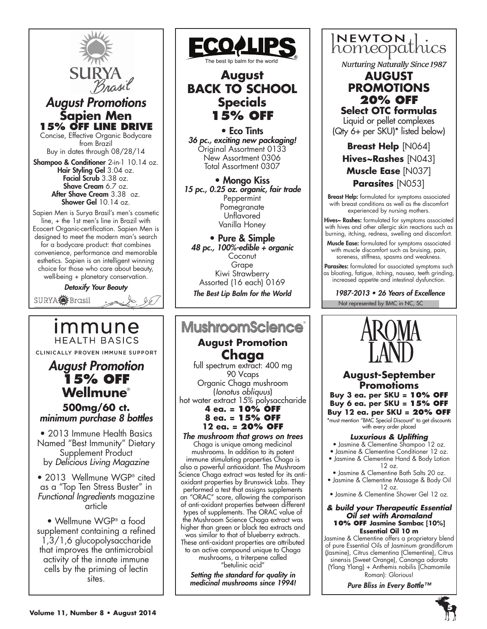

## *August Promotions* **Sapien Men 15% OFF line drive**

Concise, Effective Organic Bodycare from Brazil Buy in dates through 08/28/14

Shampoo & Conditioner 2-in-1 10.14 oz. Hair Styling Gel 3.04 oz. Facial Scrub 3.38 oz. Shave Cream 6.7 oz. After Shave Cream 3.38 oz. Shower Gel 10.14 oz.

Sapien Men is Surya Brasil's men's cosmetic line, + the 1st men's line in Brazil with Ecocert Organic-certification. Sapien Men is designed to meet the modern man's search for a bodycare product: that combines convenience, performance and memorable esthetics. Sapien is an intelligent winning choice for those who care about beauty, well-being + planetary conservation.

*Detoxify Your Beauty*

SURYA**O** Brasil

immune **HFALTH BASICS** CLINICALLY PROVEN IMMUNE SUPPORT

*August Promotion*  **15% off Wellmune**® **500mg/60 ct.**  *minimum purchase 8 bottles*

• 2013 Immune Health Basics Named "Best Immunity" Dietary Supplement Product by *Delicious Living Magazine*

• 2013 Wellmune WGP® cited as a "Top Ten Stress Buster" in *Functional Ingredients* magazine *<u>carticle</u>* 

• Wellmune WGP® a food supplement containing a refined 1,3/1,6 glucopolysaccharide that improves the antimicrobial activity of the innate immune cells by the priming of lectin sites.



# **BACK TO SCHOOL Specials 15% OFF**

• Eco Tints *36 pc., exciting new packaging!* Original Assortment 0133 New Assortment 0306 Total Assortment 0307

• Mongo Kiss *15 pc., 0.25 oz. organic, fair trade* Peppermint Pomegranate Unflavored Vanilla Honey

• Pure & Simple *48 pc., 100%-edible + organic* **Coconut** Grape Kiwi Strawberry Assorted (16 each) 0169 *The Best Lip Balm for the World*

# **MushroomScience**

**August Promotion Chaga**<br>full spectrum extract: 400 mg

90 Vcaps Organic Chaga mushroom (*Ionotus obliquus*) hot water extract 15% polysaccharide **4 ea. = 10% off**

## **8 ea. = 15% off 12 ea. = 20% off**

*The mushroom that grows on trees* Chaga is unique among medicinal mushrooms. In addition to its potent immune stimulating properties Chaga is also a powerful antioxidant. The Mushroom Science Chaga extract was tested for its antioxidant properties by Brunswick Labs. They performed a test that assigns supplements an "ORAC" score, allowing the comparison of anti-oxidant properties between different types of supplements. The ORAC value of the Mushroom Science Chaga extract was higher than green or black tea extracts and was similar to that of blueberry extracts. These anti-oxidant properties are attributed to an active compound unique to Chaga mushrooms, a triterpene called "betulinic acid"

*Setting the standard for quality in medicinal mushrooms since 1994!*



**Nurturing Naturally Since 1987** 

## **August PROMOTIONS 20% OFF Select OTC formulas**

Liquid or pellet complexes (Qty 6+ per SKU)\* listed below)

**Breast Help** [N064] **Hives~Rashes** [N043] **Muscle Ease** [N037] **Parasites** [N053]

Breast Help: formulated for symptoms associated with breast conditions as well as the discomfort experienced by nursing mothers.

Hives~ Rashes: formulated for symptoms associated with hives and other allergic skin reactions such as burning, itching, redness, swelling and discomfort.

Muscle Ease: formulated for symptoms associated with muscle discomfort such as bruising, pain, soreness, stiffness, spasms and weakness.

Parasites: formulated for associated symptoms such as bloating, fatigue, itching, nausea, teeth grinding, increased appetite and intestinal dysfunction.

1987-2013 • 26 Years of Excellence





**August-September Promotioms Buy 3 ea. per SKU = 10% OFF Buy 6 ea. per SKU = 15% OFF Buy 12 ea. per SKU = 20% OFF** \*must mention "BMC Special Discount" to get discounts with every order placed

## *Luxurious & Uplifting*

- Jasmine & Clementine Shampoo 12 oz.
- Jasmine & Clementine Conditioner 12 oz.
- Jasmine & Clementine Hand & Body Lotion  $12 \text{ oz}$
- Jasmine & Clementine Bath Salts 20 oz. • Jasmine & Clementine Massage & Body Oil

 $12 \text{ oz}$ 

• Jasmine & Clementine Shower Gel 12 oz.

#### *& build your Therapeutic Essential Oil set with Aromaland* **10% OFF Jasmine Sambac [10%] Essential Oil 10 m**

Jasmine & Clementine offers a proprietary blend of pure Essential Oils of Jasminum grandiflorum (Jasmine), Citrus clementina (Clementine), Citrus sinensis (Sweet Orange), Cananga odorata (Ylang Ylang) + Anthemis nobilis (Chamomile Roman): Glorious!

*Pure Bliss in Every Bottle™*

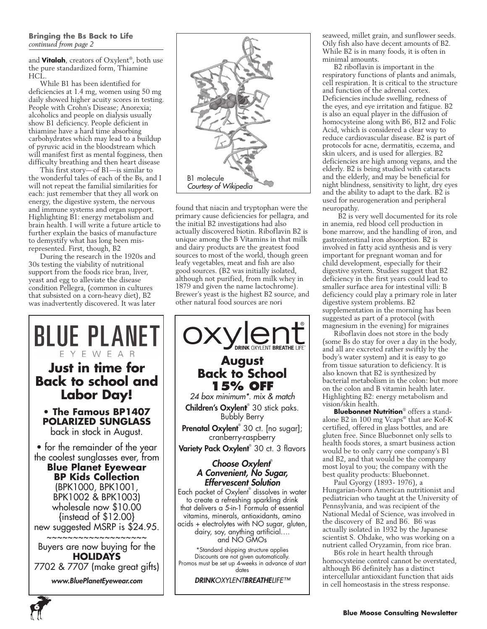#### **Bringing the Bs Back to Life** *continued from page 2*

and **Vitalah**, creators of Oxylent®, both use the pure standardized form, Thiamine HCL.

While B1 has been identified for deficiencies at 1.4 mg, women using 50 mg daily showed higher acuity scores in testing. People with Crohn's Disease; Anorexia; alcoholics and people on dialysis usually show B1 deficiency. People deficient in thiamine have a hard time absorbing carbohydrates which may lead to a buildup of pyruvic acid in the bloodstream which will manifest first as mental fogginess, then difficulty breathing and then heart disease

This first story—of B1—is similar to the wonderful tales of each of the Bs, and I will not repeat the familial similarities for each: just remember that they all work on energy, the digestive system, the nervous and immune systems and organ support. Highlighting B1: energy metabolism and brain health. I will write a future article to further explain the basics of manufacture to demystify what has long been misrepresented. First, though, B2

During the research in the 1920s and 30s testing the viability of nutritional support from the foods rice bran, liver, yeast and egg to alleviate the disease condition Pellegra, (common in cultures that subsisted on a corn-heavy diet), B2 was inadvertently discovered. It was later

**Just in time for**

F Y F W F A R

**Labor Day! • The Famous BP1407 POLARIZED SUNGLASS**  back in stock in August.

**Blue Planet Eyewear BP Kids Collection**  (BPK1000, BPK1001, BPK1002 & BPK1003) wholesale now \$10.00 {instead of \$12.00}

\_<br>~~~~~~~~~~~~~~~

**HOLIDAYS**

*www.BluePlanetEyewear.com*



found that niacin and tryptophan were the primary cause deficiencies for pellagra, and the initial B2 investigations had also actually discovered biotin. Riboflavin B2 is unique among the B Vitamins in that milk and dairy products are the greatest food sources to most of the world, though green leafy vegetables, meat and fish are also good sources. (B2 was initially isolated, although not purified, from milk whey in 1879 and given the name lactochrome). Brewer's yeast is the highest B2 source, and other natural food sources are nori



seaweed, millet grain, and sunflower seeds. Oily fish also have decent amounts of B2. While B2 is in many foods, it is often in minimal amounts.

B2 riboflavin is important in the respiratory functions of plants and animals, cell respiration. It is critical to the structure and function of the adrenal cortex. Deficiencies include swelling, redness of the eyes, and eye irritation and fatigue. B2 is also an equal player in the diffusion of homocysteine along with B6, B12 and Folic Acid, which is considered a clear way to reduce cardiovascular disease. B2 is part of protocols for acne, dermatitis, eczema, and skin ulcers, and is used for allergies. B2 deficiencies are high among vegans, and the elderly. B2 is being studied with cataracts and the elderly, and may be beneficial for night blindness, sensitivity to light, dry eyes and the ability to adapt to the dark. B2 is used for neurogeneration and peripheral neuropathy.

 B2 is very well documented for its role in anemia, red blood cell production in bone marrow, and the handling of iron, and gastrointestinal iron absorption. B2 is involved in fatty acid synthesis and is very important for pregnant woman and for child development, especially for their digestive system. Studies suggest that B2 deficiency in the first years could lead to smaller surface area for intestinal villi: B deficiency could play a primary role in later digestive system problems. B2 supplementation in the morning has been suggested as part of a protocol (with magnesium in the evening) for migraines

Riboflavin does not store in the body (some Bs do stay for over a day in the body, and all are excreted rather swiftly by the body's water system) and it is easy to go from tissue saturation to deficiency. It is also known that B2 is synthesized by bacterial metabolism in the colon: but more on the colon and B vitamin health later. Highlighting B2: energy metabolism and vision/skin health.

**Bluebonnet Nutrition**® offers a standalone B2 in 100 mg Vcaps® that are Kof-K certified, offered in glass bottles, and are gluten free. Since Bluebonnet only sells to health foods stores, a smart business action would be to only carry one company's B1 and B2, and that would be the company most loyal to you; the company with the best quality products: Bluebonnet.

Paul Gyorgy (1893- 1976), a Hungarian-born American nutritionist and pediatrician who taught at the University of Pennsylvania, and was recipient of the National Medal of Science, was involved in the discovery of B2 and B6. B6 was actually isolated in 1932 by the Japanese scientist S. Ohdake, who was working on a nutrient called Oryzamin, from rice bran.

B6s role in heart health through homocysteine control cannot be overstated, although B6 definitely has a distinct intercellular antioxidant function that aids in cell homeostasis in the stress response.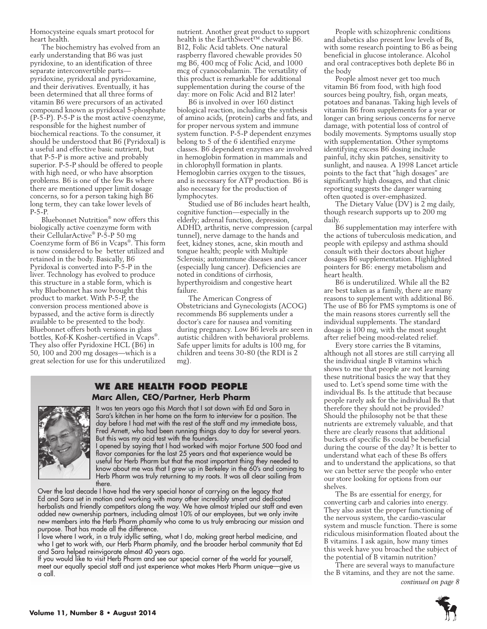Homocysteine equals smart protocol for heart health.

The biochemistry has evolved from an early understanding that B6 was just pyridoxine, to an identification of three separate interconvertible parts pyridoxine, pyridoxal and pyridoxamine, and their derivatives. Eventually, it has been determined that all three forms of vitamin B6 were precursors of an activated compound known as pyridoxal 5-phosphate (P-5-P). P-5-P is the most active coenzyme, responsible for the highest number of biochemical reactions. To the consumer, it should be understood that B6 (Pyridoxal) is a useful and effective basic nutrient, but that P-5-P is more active and probably superior. P-5-P should be offered to people with high need, or who have absorption problems. B6 is one of the few Bs where there are mentioned upper limit dosage concerns, so for a person taking high B6 long term, they can take lower levels of P-5-P.

Bluebonnet Nutrition® now offers this biologically active coenzyme form with their CellularActive® P-5-P 50 mg Coenzyme form of B6 in Vcaps®. This form is now considered to be better utilized and retained in the body. Basically, B6 Pyridoxal is converted into P-5-P in the liver. Technology has evolved to produce this structure in a stable form, which is why Bluebonnet has now brought this product to market. With P-5-P, the conversion process mentioned above is bypassed, and the active form is directly available to be presented to the body. Bluebonnet offers both versions in glass bottles, Kof-K Kosher-certified in Vcaps®. They also offer Pyridoxine HCL (B6) in 50, 100 and 200 mg dosages—which is a great selection for use for this underutilized nutrient. Another great product to support health is the EarthSweet™ chewable B6. B12, Folic Acid tablets. One natural raspberry flavored chewable provides 50 mg B6, 400 mcg of Folic Acid, and 1000 mcg of cyanocobalamin. The versatility of this product is remarkable for additional supplementation during the course of the day: more on Folic Acid and B12 later!

B6 is involved in over 160 distinct biological reaction, including the synthesis of amino acids, (protein) carbs and fats, and for proper nervous system and immune system function. P-5-P dependent enzymes belong to 5 of the 6 identified enzyme classes. B6 dependent enzymes are involved in hemoglobin formation in mammals and in chlorophyll formation in plants. Hemoglobin carries oxygen to the tissues, and is necessary for ATP production. B6 is also necessary for the production of lymphocytes.

Studied use of B6 includes heart health, cognitive function—especially in the elderly; adrenal function, depression, ADHD, arthritis, nerve compression (carpal tunnel), nerve damage to the hands and feet, kidney stones, acne, skin mouth and tongue health; people with Multiple Sclerosis; autoimmune diseases and cancer (especially lung cancer). Deficiencies are noted in conditions of cirrhosis, hyperthyroidism and congestive heart failure.

The American Congress of Obstetricians and Gynecologists (ACOG) recommends B6 supplements under a doctor's care for nausea and vomiting during pregnancy. Low B6 levels are seen in autistic children with behavioral problems. Safe upper limits for adults is 100 mg, for children and teens 30-80 (the RDI is 2 mg).

## **We are health food people Marc Allen, CEO/Partner, Herb Pharm**



It was ten years ago this March that I sat down with Ed and Sara in Sara's kitchen in her home on the farm to interview for a position. The day before I had met with the rest of the staff and my immediate boss, Fred Arnett, who had been running things day to day for several years. But this was my acid test with the founders.

I opened by saying that I had worked with major Fortune 500 food and flavor companies for the last 25 years and that experience would be useful for Herb Pharm but that the most important thing they needed to know about me was that I grew up in Berkeley in the 60's and coming to Herb Pharm was truly returning to my roots. It was all clear sailing from there.

Over the last decade I have had the very special honor of carrying on the legacy that Ed and Sara set in motion and working with many other incredibly smart and dedicated herbalists and friendly competitors along the way. We have almost tripled our staff and even added new ownership partners, including almost 10% of our employees, but we only invite new members into the Herb Pharm phamily who come to us truly embracing our mission and purpose. That has made all the difference.

I love where I work, in a truly idyllic setting, what I do, making great herbal medicine, and who I get to work with, our Herb Pharm phamily, and the broader herbal community that Ed and Sara helped reinvigorate almost 40 years ago.

If you would like to visit Herb Pharm and see our special corner of the world for yourself, meet our equally special staff and just experience what makes Herb Pharm unique—give us a call.

People with schizophrenic conditions and diabetics also present low levels of Bs, with some research pointing to B6 as being beneficial in glucose intolerance. Alcohol and oral contraceptives both deplete B6 in the body

People almost never get too much vitamin B6 from food, with high food sources being poultry, fish, organ meats, potatoes and bananas. Taking high levels of vitamin B6 from supplements for a year or longer can bring serious concerns for nerve damage, with potential loss of control of bodily movements. Symptoms usually stop with supplementation. Other symptoms identifying excess B6 dosing include painful, itchy skin patches, sensitivity to sunlight, and nausea. A 1998 Lancet article points to the fact that "high dosages" are significantly high dosages, and that clinic reporting suggests the danger warning often quoted is over-emphasized.

The Dietary Value (DV) is 2 mg daily, though research supports up to 200 mg daily.

B6 supplementation may interfere with the actions of tuberculosis medication, and people with epilepsy and asthma should consult with their doctors about higher dosages B6 supplementation. Highlighted pointers for B6: energy metabolism and heart health.

B6 is underutilized. While all the B2 are best taken as a family, there are many reasons to supplement with additional B6. The use of B6 for PMS symptoms is one of the main reasons stores currently sell the individual supplements. The standard dosage is 100 mg, with the most sought after relief being mood-related relief.

Every store carries the B vitamins, although not all stores are still carrying all the individual single B vitamins which shows to me that people are not learning these nutritional basics the way that they used to. Let's spend some time with the individual Bs. Is the attitude that because people rarely ask for the individual Bs that therefore they should not be provided? Should the philosophy not be that these nutrients are extremely valuable, and that there are clearly reasons that additional buckets of specific Bs could be beneficial during the course of the day? It is better to understand what each of these Bs offers and to understand the applications, so that we can better serve the people who enter our store looking for options from our shelves.

The Bs are essential for energy, for converting carb and calories into energy. They also assist the proper functioning of the nervous system, the cardio-vascular system and muscle function. There is some ridiculous misinformation floated about the B vitamins. I ask again, how many times this week have you broached the subject of the potential of B vitamin nutrition?

There are several ways to manufacture the B vitamins, and they are not the same. *continued on page 8*